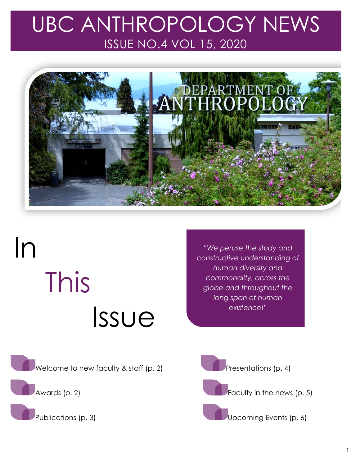## UBC ANTHROPOLOGY NEWS ISSUE NO.4 VOL 15, 2020



# In This Issue

*"We peruse the study and constructive understanding of human diversity and commonality, across the globe and throughout the long span of human existence!"*

Welcome to new faculty & staff (p. 2)

Awards (p. 2)

Publications (p. 3)



Faculty in the news (p. 5)

Upcoming Events (p. 6)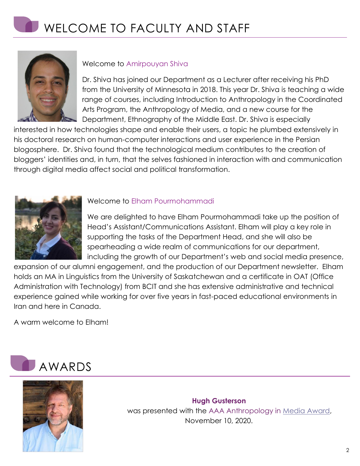

### Welcome to Amirpouyan Shiva

Dr. Shiva has joined our Department as a Lecturer after receiving his PhD from the University of Minnesota in 2018. This year Dr. Shiva is teaching a wide range of courses, including Introduction to Anthropology in the Coordinated Arts Program, the Anthropology of Media, and a new course for the Department, Ethnography of the Middle East. Dr. Shiva is especially

interested in how technologies shape and enable their users, a topic he plumbed extensively in his doctoral research on human-computer interactions and user experience in the Persian blogosphere. Dr. Shiva found that the technological medium contributes to the creation of bloggers' identities and, in turn, that the selves fashioned in interaction with and communication through digital media affect social and political transformation.



### Welcome to Elham Pourmohammadi

We are delighted to have Elham Pourmohammadi take up the position of Head's Assistant/Communications Assistant. Elham will play a key role in supporting the tasks of the Department Head, and she will also be spearheading a wide realm of communications for our department, including the growth of our Department's web and social media presence,

expansion of our alumni engagement, and the production of our Department newsletter. Elham holds an MA in Linguistics from the University of Saskatchewan and a certificate in OAT (Office Administration with Technology) from BCIT and she has extensive administrative and technical experience gained while working for over five years in fast-paced educational environments in Iran and here in Canada.

A warm welcome to Elham!





**Hugh Gusterson** was presented with the AAA Anthropology in Media [Award,](https://www.americananthro.org/ConnectWithAAA/Content.aspx?ItemNumber=25879) November 10, 2020.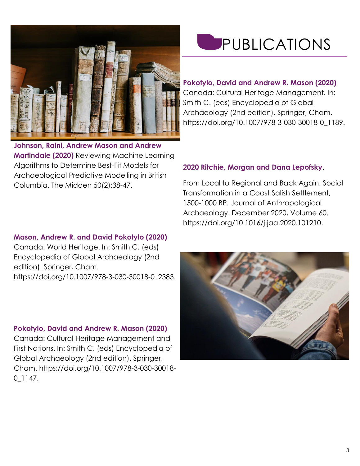

**Johnson, Raini, Andrew Mason and Andrew Martindale (2020)** Reviewing Machine Learning Algorithms to Determine Best-Fit Models for Archaeological Predictive Modelling in British Columbia. The Midden 50(2):38-47.

### **Mason, Andrew R. and David Pokotylo (2020)**

Canada: World Heritage. In: Smith C. (eds) Encyclopedia of Global Archaeology (2nd edition). Springer, Cham. [https://doi.org/10.1007/978-3-030-30018-0\\_2383.](https://doi.org/10.1007/978-3-030-30018-0_2383)

### **Pokotylo, David and Andrew R. Mason (2020)**

Canada: Cultural Heritage Management and First Nations. In: Smith C. (eds) Encyclopedia of Global Archaeology (2nd edition). Springer, Cham. [https://doi.org/10.1007/978-3-030-30018-](https://doi.org/10.1007/978-3-030-30018-0_1147) [0\\_1147.](https://doi.org/10.1007/978-3-030-30018-0_1147)

# PUBLICATIONS

### **Pokotylo, David and Andrew R. Mason (2020)**

Canada: Cultural Heritage Management. In: Smith C. (eds) Encyclopedia of Global Archaeology (2nd edition). Springer, Cham. [https://doi.org/10.1007/978-3-030-30018-0\\_1189.](https://doi.org/10.1007/978-3-030-30018-0_1189)

### **2020 Ritchie, Morgan and Dana Lepofsky**.

From Local to Regional and Back Again: Social Transformation in a Coast Salish Settlement, 1500-1000 BP. Journal of Anthropological Archaeology. December 2020, Volume 60. [https://doi.org/10.1016/j.jaa.2020.101210.](https://doi.org/10.1016/j.jaa.2020.101210)

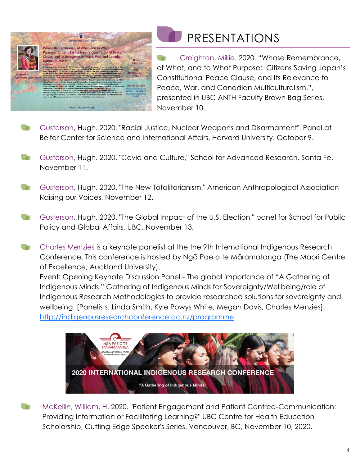

### PRESENTATIONS

Creighton, Millie. 2020. "Whose Remembrance, of What, and to What Purpose: Citizens Saving Japan's Constitutional Peace Clause, and Its Relevance to Peace, War, and Canadian Multiculturalism.", presented in UBC ANTH Faculty Brown Bag Series, November 10.

- Gusterson, Hugh. 2020. "Racial Justice, Nuclear Weapons and Disarmament". Panel at Belfer Center for Science and International Affairs, Harvard University. October 9.
- Gusterson, Hugh. 2020. "Covid and Culture," School for Advanced Research, Santa Fe. November 11.
- Gusterson, Hugh. 2020. "The New Totalitarianism," American Anthropological Association **COLLEGE** Raising our Voices, November 12.
- Gusterson, Hugh. 2020. "The Global Impact of the U.S. Election," panel for School for Public Policy and Global Affairs, UBC. November 13.
- Charles Menzies is a keynote panelist at the the 9th International Indigenous Research **Contract** Conference. This conference is hosted by Ngā Pae o te Māramatanga (The Maori Centre of Excellence, Auckland University).
	- Event: Opening Keynote Discussion Panel The global importance of "A Gathering of Indigenous Minds." Gathering of Indigenous Minds for Sovereignty/Wellbeing/role of Indigenous Research Methodologies to provide researched solutions for sovereignty and wellbeing. [Panelists: Linda Smith, Kyle Powys White, Megan Davis, Charles Menzies]. <http://indigenousresearchconference.ac.nz/programme>



McKellin, William, H. 2020. "Patient Engagement and Patient Centred-Communication: Providing Information or Facilitating Learning?" UBC Centre for Health Education Scholarship, Cutting Edge Speaker's Series. Vancouver, BC, November 10, 2020.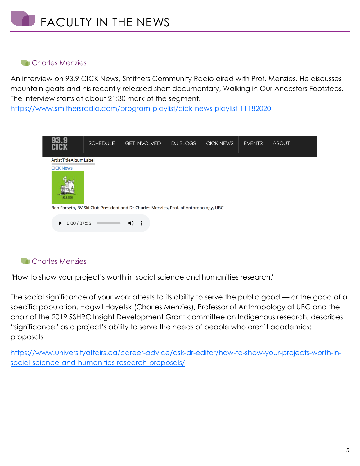### **Charles Menzies**

An interview on 93.9 CICK News, Smithers Community Radio aired with Prof. Menzies. He discusses mountain goats and his recently released short documentary, Walking in Our Ancestors Footsteps. The interview starts at about 21:30 mark of the segment.

<https://www.smithersradio.com/program-playlist/cick-news-playlist-11182020>

| CICK                                                                                  | <b>SCHEDULE</b> | <b>GET INVOLVED</b> | DJ BLOGS | <b>CICK NEWS</b> | <b>EVENTS</b> | <b>ABOUT</b> |
|---------------------------------------------------------------------------------------|-----------------|---------------------|----------|------------------|---------------|--------------|
| ArtistTitleAlbumLabel                                                                 |                 |                     |          |                  |               |              |
| <b>CICK News</b>                                                                      |                 |                     |          |                  |               |              |
| 93.9 CIGI                                                                             |                 |                     |          |                  |               |              |
| Ben Forsyth, BV Ski Club President and Dr Charles Menzies, Prof. of Anthropology, UBC |                 |                     |          |                  |               |              |
| ።<br>0:00 / 37:55<br>ю<br>▶                                                           |                 |                     |          |                  |               |              |

### **Charles Menzies**

"How to show your project's worth in social science and humanities research,"

The social significance of your work attests to its ability to serve the public good — or the good of a specific population. Hagwil Hayetsk (Charles Menzies), Professor of Anthropology at UBC and the chair of the 2019 SSHRC Insight Development Grant committee on Indigenous research, describes "significance" as a project's ability to serve the needs of people who aren't academics: proposals

[https://www.universityaffairs.ca/career-advice/ask-dr-editor/how-to-show-your-projects-worth-in](https://www.universityaffairs.ca/career-advice/ask-dr-editor/how-to-show-your-projects-worth-in-social-science-and-humanities-research-proposals/)[social-science-and-humanities-research-proposals/](https://www.universityaffairs.ca/career-advice/ask-dr-editor/how-to-show-your-projects-worth-in-social-science-and-humanities-research-proposals/)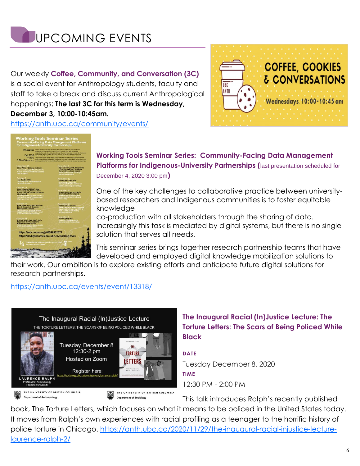

Our weekly **Coffee, Community, and Conversation (3C)**  is a social event for Anthropology students, faculty and staff to take a break and discuss current Anthropological happenings; **The last 3C for this term is Wednesday, December 3, 10:00-10:45am.**



<https://anth.ubc.ca/community/events/>



### **Working Tools Seminar Series: Community-Facing Data Management Platforms for Indigenous-University Partnerships (**last presentation scheduled for December 4, 2020 3:00 pm**)**

One of the key challenges to collaborative practice between universitybased researchers and Indigenous communities is to foster equitable knowledge

co-production with all stakeholders through the sharing of data. Increasingly this task is mediated by digital systems, but there is no single solution that serves all needs.

This seminar series brings together research partnership teams that have developed and employed digital knowledge mobilization solutions to

their work. Our ambition is to explore existing efforts and anticipate future digital solutions for research partnerships.

### <https://anth.ubc.ca/events/event/13318/>



### **The Inaugural Racial (In)Justice Lecture: The Torture Letters: The Scars of Being Policed While Black**

**DATE** Tuesday December 8, 2020 **TIME** 12:30 PM - 2:00 PM

This talk introduces Ralph's recently published

book, The Torture Letters, which focuses on what it means to be policed in the United States today. It moves from Ralph's own experiences with racial profiling as a teenager to the horrific history of police torture in Chicago. [https://anth.ubc.ca/2020/11/29/the-inaugural-racial-injustice-lecture](https://anth.ubc.ca/2020/11/29/the-inaugural-racial-injustice-lecture-laurence-ralph-2/)[laurence-ralph-2/](https://anth.ubc.ca/2020/11/29/the-inaugural-racial-injustice-lecture-laurence-ralph-2/)